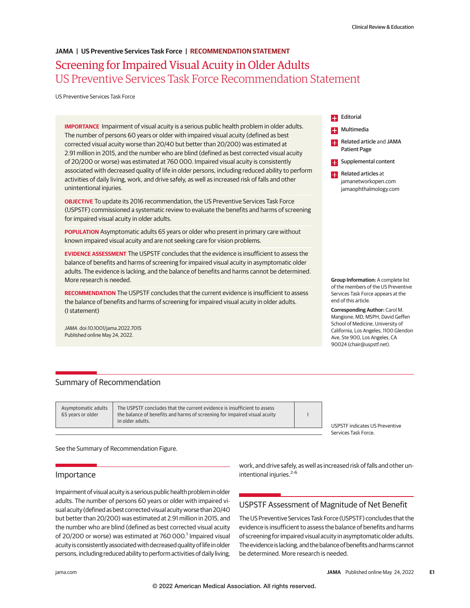# Screening for Impaired Visual Acuity in Older Adults US Preventive Services Task Force Recommendation Statement **JAMA | US Preventive Services Task Force | RECOMMENDATION STATEMENT**

US Preventive Services Task Force

**IMPORTANCE** Impairment of visual acuity is a serious public health problem in older adults. The number of persons 60 years or older with impaired visual acuity (defined as best corrected visual acuity worse than 20/40 but better than 20/200) was estimated at 2.91 million in 2015, and the number who are blind (defined as best corrected visual acuity of 20/200 or worse) was estimated at 760 000. Impaired visual acuity is consistently associated with decreased quality of life in older persons, including reduced ability to perform activities of daily living, work, and drive safely, as well as increased risk of falls and other unintentional injuries.

**OBJECTIVE** To update its 2016 recommendation, the US Preventive Services Task Force (USPSTF) commissioned a systematic review to evaluate the benefits and harms of screening for impaired visual acuity in older adults.

**POPULATION** Asymptomatic adults 65 years or older who present in primary care without known impaired visual acuity and are not seeking care for vision problems.

**EVIDENCE ASSESSMENT** The USPSTF concludes that the evidence is insufficient to assess the balance of benefits and harms of screening for impaired visual acuity in asymptomatic older adults. The evidence is lacking, and the balance of benefits and harms cannot be determined. More research is needed.

**RECOMMENDATION** The USPSTF concludes that the current evidence is insufficient to assess the balance of benefits and harms of screening for impaired visual acuity in older adults. (I statement)

JAMA. doi:10.1001/jama.2022.7015 Published online May 24, 2022.

**E.** Multimedia **Related article and JAMA** Patient Page **Exercise Supplemental content Related articles at** 

> jamanetworkopen.com jamaophthalmology.com

**Editorial** 

**Group Information:** A complete list

of the members of the US Preventive Services Task Force appears at the end of this article.

**Corresponding Author:** Carol M. Mangione, MD, MSPH, David Geffen School of Medicine, University of California, Los Angeles, 1100 Glendon Ave, Ste 900, Los Angeles, CA 90024 (chair@uspstf.net).

# Summary of Recommendation

Asymptomatic adults 65 years or older

The USPSTF concludes that the current evidence is insufficient to assess the balance of benefits and harms of screening for impaired visual acuity in older adults.

USPSTF indicates US Preventive Services Task Force.

See the Summary of Recommendation Figure.

# **Importance**

Impairment of visual acuity is a serious public health problem in older adults. The number of persons 60 years or older with impaired visual acuity (defined as best corrected visual acuity worse than 20/40 but better than 20/200) was estimated at 2.91 million in 2015, and the number who are blind (defined as best corrected visual acuity of 20/200 or worse) was estimated at 760 000.<sup>1</sup> Impaired visual acuity is consistently associated with decreased quality of life in older persons, including reduced ability to perform activities of daily living,

work, and drive safely, as well as increased risk of falls and other unintentional injuries. $2-6$ 

I

# USPSTF Assessment of Magnitude of Net Benefit

The US Preventive Services Task Force (USPSTF) concludes that the evidence is insufficient to assess the balance of benefits and harms of screening for impaired visual acuity in asymptomatic older adults. The evidence is lacking, and the balance of benefits and harms cannot be determined. More research is needed.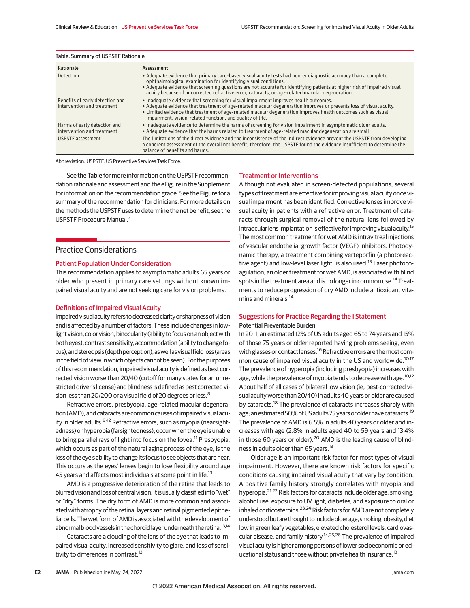| Rationale                                                     | Assessment                                                                                                                                                                                                                                                                                                                                                                                                       |
|---------------------------------------------------------------|------------------------------------------------------------------------------------------------------------------------------------------------------------------------------------------------------------------------------------------------------------------------------------------------------------------------------------------------------------------------------------------------------------------|
| Detection                                                     | • Adequate evidence that primary care-based visual acuity tests had poorer diagnostic accuracy than a complete<br>ophthalmological examination for identifying visual conditions.<br>• Adequate evidence that screening questions are not accurate for identifying patients at higher risk of impaired visual<br>acuity because of uncorrected refractive error, cataracts, or age-related macular degeneration. |
| Benefits of early detection and<br>intervention and treatment | • Inadequate evidence that screening for visual impairment improves health outcomes.<br>• Adequate evidence that treatment of age-related macular degeneration improves or prevents loss of visual acuity.<br>• Limited evidence that treatment of age-related macular degeneration improves health outcomes such as visual<br>impairment, vision-related function, and quality of life.                         |
| Harms of early detection and<br>intervention and treatment    | • Inadequate evidence to determine the harms of screening for vision impairment in asymptomatic older adults.<br>. Adequate evidence that the harms related to treatment of age-related macular degeneration are small.                                                                                                                                                                                          |
| USPSTF assessment                                             | The limitations of the direct evidence and the inconsistency of the indirect evidence prevent the USPSTF from developing<br>a coherent assessment of the overall net benefit; therefore, the USPSTF found the evidence insufficient to determine the<br>balance of benefits and harms.                                                                                                                           |
|                                                               |                                                                                                                                                                                                                                                                                                                                                                                                                  |

## Table. Summary of USPSTF Rationale

Abbreviation: USPSTF, US Preventive Services Task Force.

See the Table for more information on the USPSTF recommendation rationale and assessment and the eFigure in the Supplement for information on the recommendation grade. See the Figure for a summary of the recommendation for clinicians. For more details on the methods the USPSTF uses to determine the net benefit, see the USPSTF Procedure Manual.7

# Practice Considerations

#### Patient Population Under Consideration

This recommendation applies to asymptomatic adults 65 years or older who present in primary care settings without known impaired visual acuity and are not seeking care for vision problems.

## Definitions of Impaired Visual Acuity

Impaired visual acuity refers to decreased clarity or sharpness of vision and is affected by a number of factors. These include changes in lowlight vision, color vision, binocularity (ability to focus on an object with botheyes), contrast sensitivity, accommodation (ability to change focus), and stereopsis (depth perception), as well as visual field loss (areas in the field of view in which objects cannot be seen). For the purposes of this recommendation, impaired visual acuity is defined as best corrected vision worse than 20/40 (cutoff for many states for an unrestricted driver's license) and blindness is defined as best corrected vision less than 20/200 or a visual field of 20 degrees or less.<sup>8</sup>

Refractive errors, presbyopia, age-related macular degeneration (AMD), and cataracts are common causes of impaired visual acuity in older adults.<sup>9-12</sup> Refractive errors, such as myopia (nearsightedness) or hyperopia (farsightedness), occur when the eye is unable to bring parallel rays of light into focus on the fovea.<sup>11</sup> Presbyopia, which occurs as part of the natural aging process of the eye, is the loss of the eye's ability to change its focus to see objects that are near. This occurs as the eyes' lenses begin to lose flexibility around age 45 years and affects most individuals at some point in life.<sup>13</sup>

AMD is a progressive deterioration of the retina that leads to blurred vision and loss of central vision. It is usually classified into "wet" or "dry" forms. The dry form of AMD is more common and associated with atrophy of the retinal layers and retinal pigmented epithelial cells. The wet form of AMD is associated with the development of abnormal blood vessels in the choroid layer underneath the retina.<sup>13,14</sup>

Cataracts are a clouding of the lens of the eye that leads to impaired visual acuity, increased sensitivity to glare, and loss of sensitivity to differences in contrast.<sup>13</sup>

#### Treatment or Interventions

Although not evaluated in screen-detected populations, several types of treatment are effective for improving visual acuity once visual impairment has been identified. Corrective lenses improve visual acuity in patients with a refractive error. Treatment of cataracts through surgical removal of the natural lens followed by intraocular lens implantation is effective for improving visual acuity.<sup>15</sup> The most common treatment for wet AMD is intravitreal injections of vascular endothelial growth factor (VEGF) inhibitors. Photodynamic therapy, a treatment combining verteporfin (a photoreactive agent) and low-level laser light, is also used.<sup>13</sup> Laser photocoagulation, an older treatment for wet AMD, is associated with blind spots in the treatment area and is no longer in common use.<sup>14</sup> Treatments to reduce progression of dry AMD include antioxidant vitamins and minerals.<sup>14</sup>

## Suggestions for Practice Regarding the I Statement Potential Preventable Burden

In 2011, an estimated 12% of US adults aged 65 to 74 years and 15% of those 75 years or older reported having problems seeing, even with glasses or contact lenses.<sup>16</sup> Refractive errors are the most common cause of impaired visual acuity in the US and worldwide.<sup>10,17</sup> The prevalence of hyperopia (including presbyopia) increases with age, while the prevalence of myopia tends to decrease with age.<sup>10,12</sup> About half of all cases of bilateral low vision (ie, best-corrected visual acuity worse than 20/40) in adults 40 years or older are caused by cataracts.<sup>18</sup> The prevalence of cataracts increases sharply with age; an estimated 50% of US adults 75 years or older have cataracts.<sup>19</sup> The prevalence of AMD is 6.5% in adults 40 years or older and increases with age (2.8% in adults aged 40 to 59 years and 13.4% in those 60 years or older). $^{20}$  AMD is the leading cause of blindness in adults older than 65 years.<sup>13</sup>

Older age is an important risk factor for most types of visual impairment. However, there are known risk factors for specific conditions causing impaired visual acuity that vary by condition. A positive family history strongly correlates with myopia and hyperopia.<sup>21,22</sup> Risk factors for cataracts include older age, smoking, alcohol use, exposure to UV light, diabetes, and exposure to oral or inhaled corticosteroids.<sup>23,24</sup> Risk factors for AMD are not completely understood but are thought to include older age, smoking, obesity, diet low in green leafy vegetables, elevated cholesterol levels, cardiovascular disease, and family history.<sup>14,25,26</sup> The prevalence of impaired visual acuity is higher among persons of lower socioeconomic or educational status and those without private health insurance.<sup>13</sup>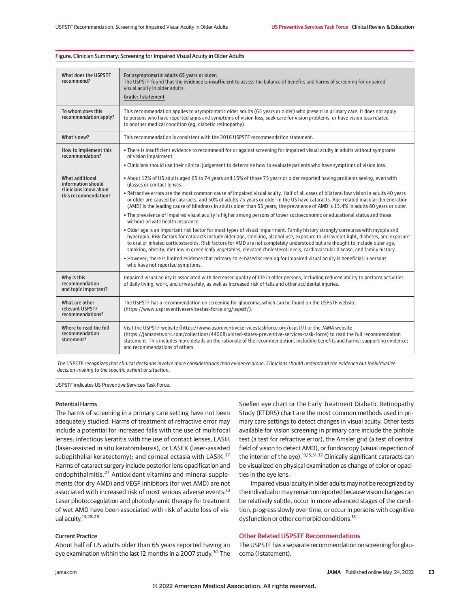| What does the USPSTF<br>recommend?                                                     | For asymptomatic adults 65 years or older:<br>The USPSTF found that the evidence is insufficient to assess the balance of benefits and harms of screening for impaired<br>visual acuity in older adults.<br>Grade: I statement                                                                                                                                                                                                                                                                                                                                                                                                                                                                                                                                                                                                                                                                                                                                                                                                                                                                                                                                                                                                                                                                                                                                                                                           |
|----------------------------------------------------------------------------------------|--------------------------------------------------------------------------------------------------------------------------------------------------------------------------------------------------------------------------------------------------------------------------------------------------------------------------------------------------------------------------------------------------------------------------------------------------------------------------------------------------------------------------------------------------------------------------------------------------------------------------------------------------------------------------------------------------------------------------------------------------------------------------------------------------------------------------------------------------------------------------------------------------------------------------------------------------------------------------------------------------------------------------------------------------------------------------------------------------------------------------------------------------------------------------------------------------------------------------------------------------------------------------------------------------------------------------------------------------------------------------------------------------------------------------|
| To whom does this<br>recommendation apply?                                             | This recommendation applies to asymptomatic older adults (65 years or older) who present in primary care. It does not apply<br>to persons who have reported signs and symptoms of vision loss, seek care for vision problems, or have vision loss related<br>to another medical condition (eq. diabetic retinopathy).                                                                                                                                                                                                                                                                                                                                                                                                                                                                                                                                                                                                                                                                                                                                                                                                                                                                                                                                                                                                                                                                                                    |
| What's new?                                                                            | This recommendation is consistent with the 2016 USPSTF recommendation statement.                                                                                                                                                                                                                                                                                                                                                                                                                                                                                                                                                                                                                                                                                                                                                                                                                                                                                                                                                                                                                                                                                                                                                                                                                                                                                                                                         |
| How to implement this<br>recommendation?                                               | • There is insufficient evidence to recommend for or against screening for impaired visual acuity in adults without symptoms<br>of vision impairment.<br>. Clinicians should use their clinical judgement to determine how to evaluate patients who have symptoms of vision loss.                                                                                                                                                                                                                                                                                                                                                                                                                                                                                                                                                                                                                                                                                                                                                                                                                                                                                                                                                                                                                                                                                                                                        |
| What additional<br>information should<br>clinicians know about<br>this recommendation? | • About 12% of US adults aged 65 to 74 years and 15% of those 75 years or older reported having problems seeing, even with<br>glasses or contact lenses.<br>. Refractive errors are the most common cause of impaired visual acuity. Half of all cases of bilateral low vision in adults 40 years<br>or older are caused by cataracts, and 50% of adults 75 years or older in the US have cataracts. Age-related macular degeneration<br>(AMD) is the leading cause of blindness in adults older than 65 years; the prevalence of AMD is 13.4% in adults 60 years or older.<br>• The prevalence of impaired visual acuity is higher among persons of lower socioeconomic or educational status and those<br>without private health insurance.<br>. Older age is an important risk factor for most types of visual impairment. Family history strongly correlates with myopia and<br>hyperopia. Risk factors for cataracts include older age, smoking, alcohol use, exposure to ultraviolet light, diabetes, and exposure<br>to oral or inhaled corticosteroids. Risk factors for AMD are not completely understood but are thought to include older age,<br>smoking, obesity, diet low in green leafy vegetables, elevated cholesterol levels, cardiovascular disease, and family history.<br>• However, there is limited evidence that primary care-based screening for impaired visual acuity is beneficial in persons |
|                                                                                        | who have not reported symptoms.                                                                                                                                                                                                                                                                                                                                                                                                                                                                                                                                                                                                                                                                                                                                                                                                                                                                                                                                                                                                                                                                                                                                                                                                                                                                                                                                                                                          |
| Why is this<br>recommendation<br>and topic important?                                  | Impaired visual acuity is associated with decreased quality of life in older persons, including reduced ability to perform activities<br>of daily living, work, and drive safely, as well as increased risk of falls and other accidental injuries.                                                                                                                                                                                                                                                                                                                                                                                                                                                                                                                                                                                                                                                                                                                                                                                                                                                                                                                                                                                                                                                                                                                                                                      |
| What are other<br>relevant USPSTF<br>recommendations?                                  | The USPSTF has a recommendation on screening for glaucoma, which can be found on the USPSTF website<br>(https://www.uspreventiveservicestaskforce.org/uspstf/).                                                                                                                                                                                                                                                                                                                                                                                                                                                                                                                                                                                                                                                                                                                                                                                                                                                                                                                                                                                                                                                                                                                                                                                                                                                          |
| Where to read the full<br>recommendation<br>statement?                                 | Visit the USPSTF website (https://www.uspreventiveservicestaskforce.org/uspstf/) or the JAMA website<br>(https://jamanetwork.com/collections/44068/united-states-preventive-services-task-force) to read the full recommendation<br>statement. This includes more details on the rationale of the recommendation, including benefits and harms; supporting evidence;<br>and recommendations of others.                                                                                                                                                                                                                                                                                                                                                                                                                                                                                                                                                                                                                                                                                                                                                                                                                                                                                                                                                                                                                   |

#### Figure. Clinician Summary: Screening for Impaired Visual Acuity in Older Adults

*The USPSTF recognizes that clinical decisions involve more considerations than evidence alone. Clinicians should understand the evidence but individualize decision-making to the specific patient or situation.*

USPSTF indicates US Preventive Services Task Force.

## Potential Harms

The harms of screening in a primary care setting have not been adequately studied. Harms of treatment of refractive error may include a potential for increased falls with the use of multifocal lenses; infectious keratitis with the use of contact lenses, LASIK (laser-assisted in situ keratomileusis), or LASEK (laser-assisted subepithelial keratectomy); and corneal ectasia with LASIK.<sup>27</sup> Harms of cataract surgery include posterior lens opacification and endophthalmitis.<sup>27</sup> Antioxidant vitamins and mineral supplements (for dry AMD) and VEGF inhibitors (for wet AMD) are not associated with increased risk of most serious adverse events.<sup>13</sup> Laser photocoagulation and photodynamic therapy for treatment of wet AMD have been associated with risk of acute loss of visual acuity.13,28,29

## Current Practice

About half of US adults older than 65 years reported having an eye examination within the last 12 months in a 2007 study.<sup>30</sup> The Snellen eye chart or the Early Treatment Diabetic Retinopathy Study (ETDRS) chart are the most common methods used in primary care settings to detect changes in visual acuity. Other tests available for vision screening in primary care include the pinhole test (a test for refractive error), the Amsler grid (a test of central field of vision to detect AMD), or fundoscopy (visual inspection of the interior of the eye).<sup>13,15,31,32</sup> Clinically significant cataracts can be visualized on physical examination as change of color or opacities in the eye lens.

Impaired visual acuity in older adults may not be recognized by the individual or may remain unreported because vision changes can be relatively subtle, occur in more advanced stages of the condition, progress slowly over time, or occur in persons with cognitive dysfunction or other comorbid conditions.<sup>13</sup>

## Other Related USPSTF Recommendations

The USPSTF has a separate recommendation on screening for glaucoma (I statement).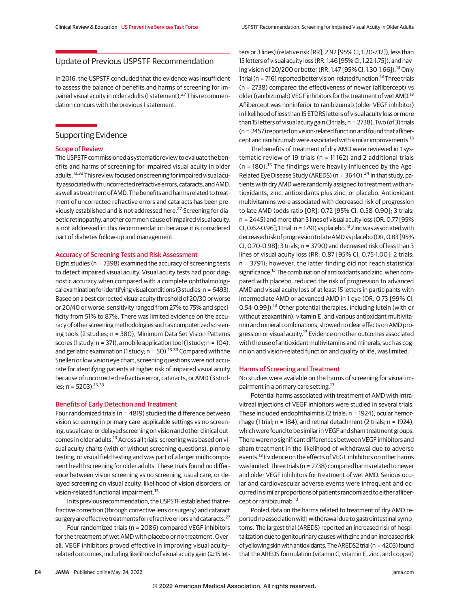## Update of Previous USPSTF Recommendation

In 2016, the USPSTF concluded that the evidence was insufficient to assess the balance of benefits and harms of screening for impaired visual acuity in older adults (I statement).<sup>27</sup> This recommendation concurs with the previous I statement.

# Supporting Evidence

## Scope of Review

The USPSTF commissioned a systematic review to evaluate the benefits and harms of screening for impaired visual acuity in older adults.<sup>13,33</sup> This review focused on screening for impaired visual acuity associated with uncorrected refractive errors, cataracts, and AMD, as well as treatment of AMD. The benefits and harms related to treatment of uncorrected refractive errors and cataracts has been previously established and is not addressed here.<sup>27</sup> Screening for diabetic retinopathy, another common cause of impaired visual acuity, is not addressed in this recommendation because it is considered part of diabetes follow-up and management.

## Accuracy of Screening Tests and Risk Assessment

Eight studies (n = 7398) examined the accuracy of screening tests to detect impaired visual acuity. Visual acuity tests had poor diagnostic accuracy when compared with a complete ophthalmological examination for identifying visual conditions (3 studies;  $n = 6493$ ). Based on a best corrected visual acuity threshold of 20/30 or worse or 20/40 or worse, sensitivity ranged from 27% to 75% and specificity from 51% to 87%. There was limited evidence on the accuracy of other screeningmethodologies such as computerized screening tools (2 studies; n = 380), Minimum Data Set Vision Patterns scores (1 study;  $n = 371$ ), a mobile application tool (1 study;  $n = 104$ ), and geriatric examination (1 study;  $n = 50$ ).<sup>13,33</sup> Compared with the Snellen or low vision eye chart, screening questions were not accurate for identifying patients at higher risk of impaired visual acuity because of uncorrected refractive error, cataracts, or AMD (3 studies; n = 5203).  $13,33$ 

#### Benefits of Early Detection and Treatment

Four randomized trials (n = 4819) studied the difference between vision screening in primary care–applicable settings vs no screening, usual care, or delayed screening on vision and other clinical outcomes in older adults.<sup>13</sup> Across all trials, screening was based on visual acuity charts (with or without screening questions), pinhole testing, or visual field testing and was part of a larger multicomponent health screening for older adults. These trials found no difference between vision screening vs no screening, usual care, or delayed screening on visual acuity, likelihood of vision disorders, or vision-related functional impairment.<sup>13</sup>

In its previous recommendation, the USPSTF established that refractive correction (through corrective lens or surgery) and cataract surgery are effective treatments for refractive errors and cataracts.<sup>27</sup>

Four randomized trials (n = 2086) compared VEGF inhibitors for the treatment of wet AMD with placebo or no treatment. Overall, VEGF inhibitors proved effective in improving visual acuity– related outcomes, including likelihood of visual acuity gain ( $\geq$ 15 let-

ters or 3 lines) (relative risk [RR], 2.92 [95% CI, 1.20-7.12]), less than 15 letters of visual acuity loss (RR, 1.46 [95% CI, 1.22-1.75]), and having vision of 20/200 or better (RR, 1.47 [95% CI, 1.30-1.66]).<sup>13</sup> Only 1 trial ( $n = 716$ ) reported better vision-related function.<sup>13</sup> Three trials (n = 2738) compared the effectiveness of newer (aflibercept) vs older (ranibizumab) VEGF inhibitors for the treatment of wet AMD.<sup>13</sup> Aflibercept was noninferior to ranibizumab (older VEGF inhibitor) in likelihood of less than 15 ETDRS letters of visual acuity loss ormore than 15 letters of visual acuity gain (3 trials;  $n = 2738$ ). Two (of 3) trials  $(n = 2457)$  reported on vision-related function and found that aflibercept and ranibizumab were associated with similar improvements.<sup>13</sup>

The benefits of treatment of dry AMD were reviewed in 1 systematic review of 19 trials (n = 11 162) and 2 additional trials  $(n = 180)$ .<sup>13</sup> The findings were heavily influenced by the Age-Related Eye Disease Study (AREDS) ( $n = 3640$ ).<sup>34</sup> In that study, patients with dry AMD were randomly assigned to treatment with antioxidants, zinc, antioxidants plus zinc, or placebo. Antioxidant multivitamins were associated with decreased risk of progression to late AMD (odds ratio [OR], 0.72 [95% CI, 0.58-0.90]; 3 trials; n = 2445) and more than 3 lines of visual acuity loss (OR, 0.77 [95% CI, 0.62-0.96]; 1 trial;  $n = 1791$ ) vs placebo.<sup>13</sup> Zinc was associated with decreased risk of progression to late AMD vs placebo (OR, 0.83 [95% CI, 0.70-0.98]; 3 trials; n = 3790) and decreased risk of less than 3 lines of visual acuity loss (RR, 0.87 [95% CI, 0.75-1.00]; 2 trials; n = 3791); however, the latter finding did not reach statistical significance.<sup>13</sup> The combination of antioxidants and zinc, when compared with placebo, reduced the risk of progression to advanced AMD and visual acuity loss of at least 15 letters in participants with intermediate AMD or advanced AMD in 1 eye (OR, 0.73 [99% CI, 0.54-0.99]).<sup>13</sup> Other potential therapies, including lutein (with or without zeaxanthin), vitamin E, and various antioxidant multivitamin and mineral combinations, showed no clear effects on AMD progression or visual acuity.<sup>13</sup> Evidence on other outcomes associated with the use of antioxidant multivitamins and minerals, such as cognition and vision-related function and quality of life, was limited.

#### Harms of Screening and Treatment

No studies were available on the harms of screening for visual impairment in a primary care setting.<sup>13</sup>

Potential harms associated with treatment of AMD with intravitreal injections of VEGF inhibitors were studied in several trials. These included endophthalmitis (2 trials; n = 1924), ocular hemorrhage (1 trial; n = 184), and retinal detachment (2 trials; n = 1924), which were found to be similar in VEGF and sham treatment groups. There were no significant differences between VEGF inhibitors and sham treatment in the likelihood of withdrawal due to adverse events.<sup>13</sup> Evidence on the effects of VEGF inhibitors on other harms was limited. Three trials (n = 2738) compared harms related to newer and older VEGF inhibitors for treatment of wet AMD. Serious ocular and cardiovascular adverse events were infrequent and occurred in similar proportions of patients randomized to either aflibercept or ranibizumab.<sup>13</sup>

Pooled data on the harms related to treatment of dry AMD reported no association with withdrawal due to gastrointestinal symptoms. The largest trial (AREDS) reported an increased risk of hospitalization due to genitourinary causes with zinc and an increased risk ofyellowing skinwithantioxidants.TheAREDS2 trial (n = 4203) found that the AREDS formulation (vitamin C, vitamin E, zinc, and copper)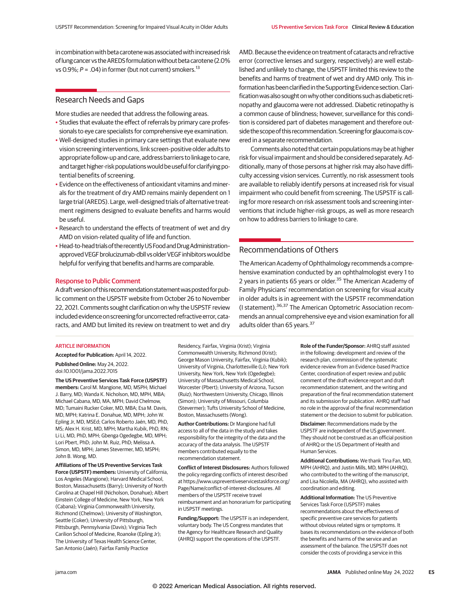in combination with beta carotene was associated with increased risk of lung cancer vs the AREDS formulation without beta carotene (2.0% vs 0.9%;  $P = .04$ ) in former (but not current) smokers.<sup>13</sup>

# Research Needs and Gaps

More studies are needed that address the following areas.

- Studies that evaluate the effect of referrals by primary care professionals to eye care specialists for comprehensive eye examination.
- Well-designed studies in primary care settings that evaluate new vision screening interventions, link screen-positive older adults to appropriate follow-up and care, address barriers to linkage to care, and target higher-risk populationswould be useful for clarifying potential benefits of screening.
- Evidence on the effectiveness of antioxidant vitamins and minerals for the treatment of dry AMD remains mainly dependent on 1 large trial (AREDS). Large, well-designed trials of alternative treatment regimens designed to evaluate benefits and harms would be useful.
- Research to understand the effects of treatment of wet and dry AMD on vision-related quality of life and function.
- Head-to-head trials of the recently US Food and Drug Administrationapproved VEGF brolucizumab-dbll vs older VEGF inhibitors would be helpful for verifying that benefits and harms are comparable.

## Response to Public Comment

A draft version of this recommendation statement was posted for public comment on the USPSTF website from October 26 to November 22, 2021. Comments sought clarification on why the USPSTF review included evidence on screening for uncorrected refractive error, cataracts, and AMD but limited its review on treatment to wet and dry

AMD. Because the evidence on treatment of cataracts and refractive error (corrective lenses and surgery, respectively) are well established and unlikely to change, the USPSTF limited this review to the benefits and harms of treatment of wet and dry AMD only. This information has been clarified in theSupporting Evidence section. Clarification was also sought on why other conditions such as diabetic retinopathy and glaucoma were not addressed. Diabetic retinopathy is a common cause of blindness; however, surveillance for this condition is considered part of diabetes management and therefore outside the scope of this recommendation. Screening for glaucoma is covered in a separate recommendation.

Comments also noted that certain populationsmay be at higher risk for visual impairment and should be considered separately. Additionally, many of those persons at higher risk may also have difficulty accessing vision services. Currently, no risk assessment tools are available to reliably identify persons at increased risk for visual impairment who could benefit from screening. The USPSTF is calling for more research on risk assessment tools and screening interventions that include higher-risk groups, as well as more research on how to address barriers to linkage to care.

# Recommendations of Others

The American Academy of Ophthalmology recommends a comprehensive examination conducted by an ophthalmologist every 1 to 2 years in patients 65 years or older.<sup>35</sup> The American Academy of Family Physicians' recommendation on screening for visual acuity in older adults is in agreement with the USPSTF recommendation (I statement).36,37 The American Optometric Association recommends an annual comprehensive eye and vision examination for all adults older than 65 years.<sup>37</sup>

#### ARTICLE INFORMATION

**Accepted for Publication:** April 14, 2022.

**Published Online:** May 24, 2022. doi:10.1001/jama.2022.7015

**The US Preventive Services Task Force (USPSTF) members:** Carol M. Mangione, MD, MSPH; Michael J. Barry, MD; Wanda K. Nicholson, MD, MPH, MBA; Michael Cabana, MD, MA, MPH; David Chelmow, MD; Tumaini Rucker Coker, MD, MBA; Esa M. Davis, MD, MPH; Katrina E. Donahue, MD, MPH; John W. Epling Jr, MD, MSEd; Carlos Roberto Jaén, MD, PhD, MS; Alex H. Krist, MD, MPH; Martha Kubik, PhD, RN; Li Li, MD, PhD, MPH; Gbenga Ogedegbe, MD, MPH; Lori Pbert, PhD; John M. Ruiz, PhD; Melissa A. Simon, MD, MPH; James Stevermer, MD, MSPH; John B. Wong, MD.

**Affiliations of The US Preventive Services Task Force (USPSTF) members:** University of California, Los Angeles (Mangione); Harvard Medical School, Boston, Massachusetts (Barry); University of North Carolina at Chapel Hill (Nicholson, Donahue); Albert Einstein College of Medicine, New York, New York (Cabana); Virginia Commonwealth University, Richmond (Chelmow); University of Washington, Seattle (Coker); University of Pittsburgh, Pittsburgh, Pennsylvania (Davis); Virginia Tech Carilion School of Medicine, Roanoke (Epling Jr); The University of Texas Health Science Center, San Antonio (Jaén); Fairfax Family Practice

Residency, Fairfax, Virginia (Krist); Virginia Commonwealth University, Richmond (Krist); George Mason University, Fairfax, Virginia (Kubik); University of Virginia, Charlottesville (Li); New York University, New York, New York (Ogedegbe); University of Massachusetts Medical School, Worcester (Pbert); University of Arizona, Tucson (Ruiz); Northwestern University, Chicago, Illinois (Simon); University of Missouri, Columbia (Stevermer); Tufts University School of Medicine, Boston, Massachusetts (Wong).

**Author Contributions:** Dr Mangione had full access to all of the data in the study and takes responsibility for the integrity of the data and the accuracy of the data analysis. The USPSTF members contributed equally to the recommendation statement.

**Conflict of Interest Disclosures:** Authors followed the policy regarding conflicts of interest described at https://www.uspreventiveservicestaskforce.org/ Page/Name/conflict-of-interest-disclosures. All members of the USPSTF receive travel reimbursement and an honorarium for participating in USPSTF meetings.

**Funding/Support:** The USPSTF is an independent, voluntary body. The US Congress mandates that the Agency for Healthcare Research and Quality (AHRQ) support the operations of the USPSTF.

**Role of the Funder/Sponsor:** AHRQ staff assisted in the following: development and review of the research plan, commission of the systematic evidence review from an Evidence-based Practice Center, coordination of expert review and public comment of the draft evidence report and draft recommendation statement, and the writing and preparation of the final recommendation statement and its submission for publication. AHRQ staff had no role in the approval of the final recommendation statement or the decision to submit for publication.

**Disclaimer:** Recommendations made by the USPSTF are independent of the US government. They should not be construed as an official position of AHRQ or the US Department of Health and Human Services.

**Additional Contributions:** We thank Tina Fan, MD, MPH (AHRQ), and Justin Mills, MD, MPH (AHRQ), who contributed to the writing of the manuscript, and Lisa Nicolella, MA (AHRQ), who assisted with coordination and editing.

**Additional Information:** The US Preventive Services Task Force (USPSTF) makes recommendations about the effectiveness of specific preventive care services for patients without obvious related signs or symptoms. It bases its recommendations on the evidence of both the benefits and harms of the service and an assessment of the balance. The USPSTF does not consider the costs of providing a service in this